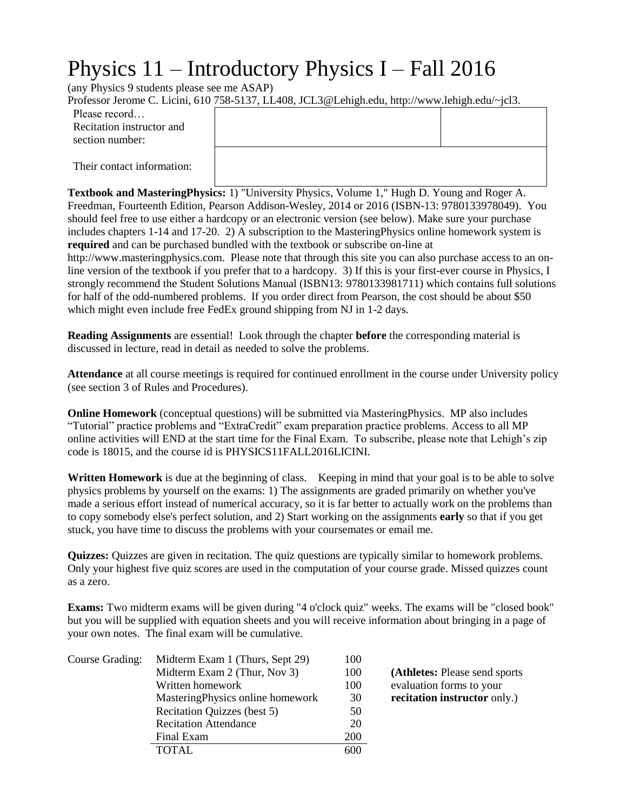# Physics 11 – Introductory Physics I – Fall 2016

(any Physics 9 students please see me ASAP)

Professor Jerome C. Licini, 610 758-5137, LL408, JCL3@Lehigh.edu, http://www.lehigh.edu/~jcl3.

| Please record             |
|---------------------------|
| Recitation instructor and |
| section number:           |

Their contact information:

**Textbook and MasteringPhysics:** 1) "University Physics, Volume 1," Hugh D. Young and Roger A. Freedman, Fourteenth Edition, Pearson Addison-Wesley, 2014 or 2016 (ISBN-13: 9780133978049). You should feel free to use either a hardcopy or an electronic version (see below). Make sure your purchase includes chapters 1-14 and 17-20. 2) A subscription to the MasteringPhysics online homework system is **required** and can be purchased bundled with the textbook or subscribe on-line at http://www.masteringphysics.com. Please note that through this site you can also purchase access to an online version of the textbook if you prefer that to a hardcopy. 3) If this is your first-ever course in Physics, I strongly recommend the Student Solutions Manual (ISBN13: 9780133981711) which contains full solutions for half of the odd-numbered problems. If you order direct from Pearson, the cost should be about \$50 which might even include free FedEx ground shipping from NJ in 1-2 days.

**Reading Assignments** are essential! Look through the chapter **before** the corresponding material is discussed in lecture, read in detail as needed to solve the problems.

**Attendance** at all course meetings is required for continued enrollment in the course under University policy (see section 3 of Rules and Procedures).

**Online Homework** (conceptual questions) will be submitted via MasteringPhysics. MP also includes "Tutorial" practice problems and "ExtraCredit" exam preparation practice problems. Access to all MP online activities will END at the start time for the Final Exam. To subscribe, please note that Lehigh's zip code is 18015, and the course id is PHYSICS11FALL2016LICINI.

**Written Homework** is due at the beginning of class. Keeping in mind that your goal is to be able to solve physics problems by yourself on the exams: 1) The assignments are graded primarily on whether you've made a serious effort instead of numerical accuracy, so it is far better to actually work on the problems than to copy somebody else's perfect solution, and 2) Start working on the assignments **early** so that if you get stuck, you have time to discuss the problems with your coursemates or email me.

**Quizzes:** Quizzes are given in recitation. The quiz questions are typically similar to homework problems. Only your highest five quiz scores are used in the computation of your course grade. Missed quizzes count as a zero.

**Exams:** Two midterm exams will be given during "4 o'clock quiz" weeks. The exams will be "closed book" but you will be supplied with equation sheets and you will receive information about bringing in a page of your own notes. The final exam will be cumulative.

| Course Grading: | Midterm Exam 1 (Thurs, Sept 29)   | 100 |                                |
|-----------------|-----------------------------------|-----|--------------------------------|
|                 | Midterm Exam 2 (Thur, Nov 3)      | 100 | (Athletes: Please send sports) |
|                 | Written homework                  | 100 | evaluation forms to your       |
|                 | Mastering Physics online homework | 30  | recitation instructor only.)   |
|                 | Recitation Quizzes (best 5)       | 50  |                                |
|                 | <b>Recitation Attendance</b>      | 20  |                                |
|                 | Final Exam                        | 200 |                                |
|                 | TOTAL.                            | 600 |                                |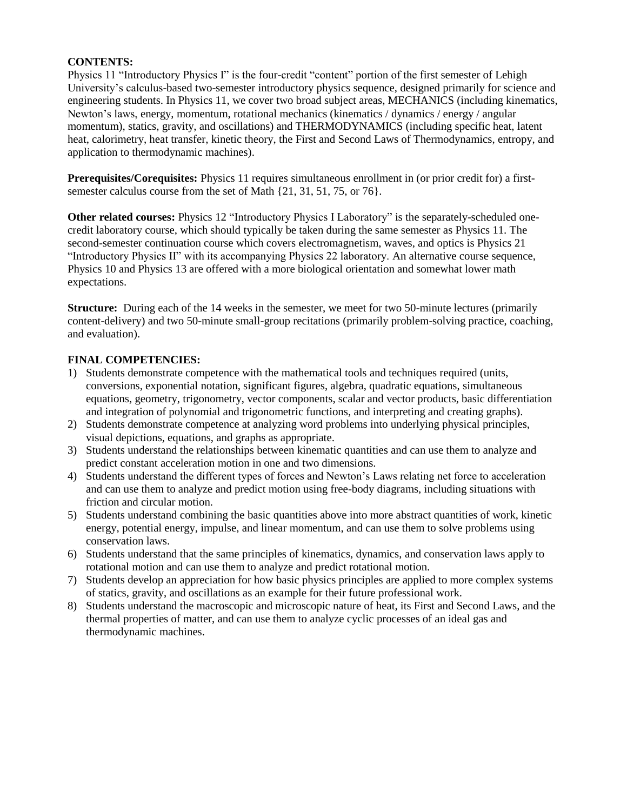# **CONTENTS:**

Physics 11 "Introductory Physics I" is the four-credit "content" portion of the first semester of Lehigh University's calculus-based two-semester introductory physics sequence, designed primarily for science and engineering students. In Physics 11, we cover two broad subject areas, MECHANICS (including kinematics, Newton's laws, energy, momentum, rotational mechanics (kinematics / dynamics / energy / angular momentum), statics, gravity, and oscillations) and THERMODYNAMICS (including specific heat, latent heat, calorimetry, heat transfer, kinetic theory, the First and Second Laws of Thermodynamics, entropy, and application to thermodynamic machines).

**Prerequisites/Corequisites:** Physics 11 requires simultaneous enrollment in (or prior credit for) a firstsemester calculus course from the set of Math {21, 31, 51, 75, or 76}.

**Other related courses:** Physics 12 "Introductory Physics I Laboratory" is the separately-scheduled onecredit laboratory course, which should typically be taken during the same semester as Physics 11. The second-semester continuation course which covers electromagnetism, waves, and optics is Physics 21 "Introductory Physics II" with its accompanying Physics 22 laboratory. An alternative course sequence, Physics 10 and Physics 13 are offered with a more biological orientation and somewhat lower math expectations.

**Structure:** During each of the 14 weeks in the semester, we meet for two 50-minute lectures (primarily content-delivery) and two 50-minute small-group recitations (primarily problem-solving practice, coaching, and evaluation).

### **FINAL COMPETENCIES:**

- 1) Students demonstrate competence with the mathematical tools and techniques required (units, conversions, exponential notation, significant figures, algebra, quadratic equations, simultaneous equations, geometry, trigonometry, vector components, scalar and vector products, basic differentiation and integration of polynomial and trigonometric functions, and interpreting and creating graphs).
- 2) Students demonstrate competence at analyzing word problems into underlying physical principles, visual depictions, equations, and graphs as appropriate.
- 3) Students understand the relationships between kinematic quantities and can use them to analyze and predict constant acceleration motion in one and two dimensions.
- 4) Students understand the different types of forces and Newton's Laws relating net force to acceleration and can use them to analyze and predict motion using free-body diagrams, including situations with friction and circular motion.
- 5) Students understand combining the basic quantities above into more abstract quantities of work, kinetic energy, potential energy, impulse, and linear momentum, and can use them to solve problems using conservation laws.
- 6) Students understand that the same principles of kinematics, dynamics, and conservation laws apply to rotational motion and can use them to analyze and predict rotational motion.
- 7) Students develop an appreciation for how basic physics principles are applied to more complex systems of statics, gravity, and oscillations as an example for their future professional work.
- 8) Students understand the macroscopic and microscopic nature of heat, its First and Second Laws, and the thermal properties of matter, and can use them to analyze cyclic processes of an ideal gas and thermodynamic machines.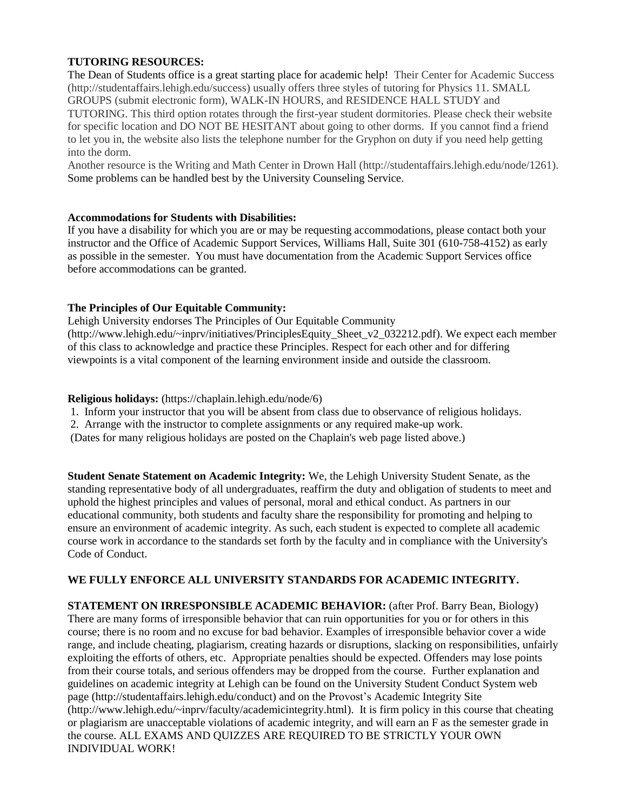# **TUTORING RESOURCES:**

The Dean of Students office is a great starting place for academic help! Their Center for Academic Success (http://studentaffairs.lehigh.edu/success) usually offers three styles of tutoring for Physics 11. SMALL GROUPS (submit electronic form), WALK-IN HOURS, and RESIDENCE HALL STUDY and TUTORING. This third option rotates through the first-year student dormitories. Please check their website for specific location and DO NOT BE HESITANT about going to other dorms. If you cannot find a friend to let you in, the website also lists the telephone number for the Gryphon on duty if you need help getting into the dorm.

Another resource is the Writing and Math Center in Drown Hall (http://studentaffairs.lehigh.edu/node/1261). Some problems can be handled best by the University Counseling Service.

### **Accommodations for Students with Disabilities:**

If you have a disability for which you are or may be requesting accommodations, please contact both your instructor and the Office of Academic Support Services, Williams Hall, Suite 301 (610-758-4152) as early as possible in the semester. You must have documentation from the Academic Support Services office before accommodations can be granted.

### **The Principles of Our Equitable Community:**

Lehigh University endorses The Principles of Our Equitable Community (http://www.lehigh.edu/~inprv/initiatives/PrinciplesEquity\_Sheet\_v2\_032212.pdf). We expect each member of this class to acknowledge and practice these Principles. Respect for each other and for differing viewpoints is a vital component of the learning environment inside and outside the classroom.

#### **Religious holidays:** (https://chaplain.lehigh.edu/node/6)

- 1. Inform your instructor that you will be absent from class due to observance of religious holidays.
- 2. Arrange with the instructor to complete assignments or any required make-up work.

(Dates for many religious holidays are posted on the Chaplain's web page listed above.)

**Student Senate Statement on Academic Integrity:** We, the Lehigh University Student Senate, as the standing representative body of all undergraduates, reaffirm the duty and obligation of students to meet and uphold the highest principles and values of personal, moral and ethical conduct. As partners in our educational community, both students and faculty share the responsibility for promoting and helping to ensure an environment of academic integrity. As such, each student is expected to complete all academic course work in accordance to the standards set forth by the faculty and in compliance with the University's Code of Conduct.

### **WE FULLY ENFORCE ALL UNIVERSITY STANDARDS FOR ACADEMIC INTEGRITY.**

**STATEMENT ON IRRESPONSIBLE ACADEMIC BEHAVIOR:** (after Prof. Barry Bean, Biology) There are many forms of irresponsible behavior that can ruin opportunities for you or for others in this course; there is no room and no excuse for bad behavior. Examples of irresponsible behavior cover a wide range, and include cheating, plagiarism, creating hazards or disruptions, slacking on responsibilities, unfairly exploiting the efforts of others, etc. Appropriate penalties should be expected. Offenders may lose points from their course totals, and serious offenders may be dropped from the course. Further explanation and guidelines on academic integrity at Lehigh can be found on the University Student Conduct System web page (http://studentaffairs.lehigh.edu/conduct) and on the Provost's Academic Integrity Site (http://www.lehigh.edu/~inprv/faculty/academicintegrity.html). It is firm policy in this course that cheating or plagiarism are unacceptable violations of academic integrity, and will earn an F as the semester grade in the course. ALL EXAMS AND QUIZZES ARE REQUIRED TO BE STRICTLY YOUR OWN INDIVIDUAL WORK!